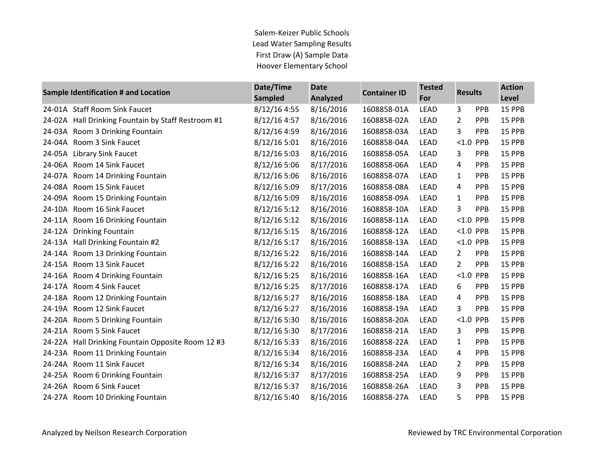Salem-Keizer Public Schools Lead Water Sampling Results First Draw (A) Sample Data Hoover Elementary School

|        | Sample Identification # and Location        | Date/Time<br><b>Sampled</b> | <b>Date</b><br><b>Analyzed</b> | <b>Container ID</b> | <b>Tested</b><br>For | <b>Results</b> |            | <b>Action</b><br><b>Level</b> |
|--------|---------------------------------------------|-----------------------------|--------------------------------|---------------------|----------------------|----------------|------------|-------------------------------|
|        | 24-01A Staff Room Sink Faucet               | 8/12/16 4:55                | 8/16/2016                      | 1608858-01A         | <b>LEAD</b>          | 3              | PPB        | 15 PPB                        |
| 24-02A | Hall Drinking Fountain by Staff Restroom #1 | 8/12/16 4:57                | 8/16/2016                      | 1608858-02A         | <b>LEAD</b>          | 2              | <b>PPB</b> | 15 PPB                        |
| 24-03A | Room 3 Drinking Fountain                    | 8/12/16 4:59                | 8/16/2016                      | 1608858-03A         | LEAD                 | 3              | PPB        | 15 PPB                        |
| 24-04A | Room 3 Sink Faucet                          | 8/12/16 5:01                | 8/16/2016                      | 1608858-04A         | LEAD                 | $< 1.0$ PPB    |            | 15 PPB                        |
| 24-05A | <b>Library Sink Faucet</b>                  | 8/12/16 5:03                | 8/16/2016                      | 1608858-05A         | <b>LEAD</b>          | 3              | PPB        | 15 PPB                        |
|        | 24-06A Room 14 Sink Faucet                  | 8/12/16 5:06                | 8/17/2016                      | 1608858-06A         | <b>LEAD</b>          | 4              | PPB        | 15 PPB                        |
| 24-07A | Room 14 Drinking Fountain                   | 8/12/16 5:06                | 8/16/2016                      | 1608858-07A         | <b>LEAD</b>          | 1              | PPB        | 15 PPB                        |
| 24-08A | Room 15 Sink Faucet                         | 8/12/16 5:09                | 8/17/2016                      | 1608858-08A         | LEAD                 | 4              | PPB        | 15 PPB                        |
| 24-09A | Room 15 Drinking Fountain                   | 8/12/16 5:09                | 8/16/2016                      | 1608858-09A         | LEAD                 | 1              | PPB        | 15 PPB                        |
| 24-10A | Room 16 Sink Faucet                         | 8/12/16 5:12                | 8/16/2016                      | 1608858-10A         | <b>LEAD</b>          | 3              | <b>PPB</b> | 15 PPB                        |
| 24-11A | Room 16 Drinking Fountain                   | 8/12/16 5:12                | 8/16/2016                      | 1608858-11A         | <b>LEAD</b>          | $< 1.0$ PPB    |            | 15 PPB                        |
| 24-12A | <b>Drinking Fountain</b>                    | 8/12/16 5:15                | 8/16/2016                      | 1608858-12A         | LEAD                 | < 1.0          | PPB        | 15 PPB                        |
| 24-13A | Hall Drinking Fountain #2                   | 8/12/16 5:17                | 8/16/2016                      | 1608858-13A         | LEAD                 | $< 1.0$ PPB    |            | 15 PPB                        |
| 24-14A | Room 13 Drinking Fountain                   | 8/12/16 5:22                | 8/16/2016                      | 1608858-14A         | LEAD                 | 2              | PPB        | 15 PPB                        |
| 24-15A | Room 13 Sink Faucet                         | 8/12/16 5:22                | 8/16/2016                      | 1608858-15A         | <b>LEAD</b>          | 2              | PPB        | 15 PPB                        |
| 24-16A | Room 4 Drinking Fountain                    | 8/12/16 5:25                | 8/16/2016                      | 1608858-16A         | LEAD                 | $< 1.0$ PPB    |            | 15 PPB                        |
| 24-17A | Room 4 Sink Faucet                          | 8/12/16 5:25                | 8/17/2016                      | 1608858-17A         | <b>LEAD</b>          | 6              | PPB        | 15 PPB                        |
| 24-18A | Room 12 Drinking Fountain                   | 8/12/16 5:27                | 8/16/2016                      | 1608858-18A         | LEAD                 | 4              | PPB        | 15 PPB                        |
| 24-19A | Room 12 Sink Faucet                         | 8/12/16 5:27                | 8/16/2016                      | 1608858-19A         | <b>LEAD</b>          | 3              | <b>PPB</b> | 15 PPB                        |
| 24-20A | Room 5 Drinking Fountain                    | 8/12/16 5:30                | 8/16/2016                      | 1608858-20A         | <b>LEAD</b>          | $< 1.0$ PPB    |            | 15 PPB                        |
| 24-21A | Room 5 Sink Faucet                          | 8/12/16 5:30                | 8/17/2016                      | 1608858-21A         | LEAD                 | 3              | PPB        | 15 PPB                        |
| 24-22A | Hall Drinking Fountain Opposite Room 12 #3  | 8/12/16 5:33                | 8/16/2016                      | 1608858-22A         | <b>LEAD</b>          | 1              | PPB        | 15 PPB                        |
| 24-23A | Room 11 Drinking Fountain                   | 8/12/16 5:34                | 8/16/2016                      | 1608858-23A         | <b>LEAD</b>          | 4              | PPB        | 15 PPB                        |
| 24-24A | Room 11 Sink Faucet                         | 8/12/16 5:34                | 8/16/2016                      | 1608858-24A         | <b>LEAD</b>          | $\overline{2}$ | PPB        | 15 PPB                        |
| 24-25A | Room 6 Drinking Fountain                    | 8/12/16 5:37                | 8/17/2016                      | 1608858-25A         | LEAD                 | 9              | PPB        | 15 PPB                        |
| 24-26A | Room 6 Sink Faucet                          | 8/12/16 5:37                | 8/16/2016                      | 1608858-26A         | LEAD                 | 3              | PPB        | 15 PPB                        |
| 24-27A | Room 10 Drinking Fountain                   | 8/12/16 5:40                | 8/16/2016                      | 1608858-27A         | <b>LEAD</b>          | 5              | <b>PPB</b> | 15 PPB                        |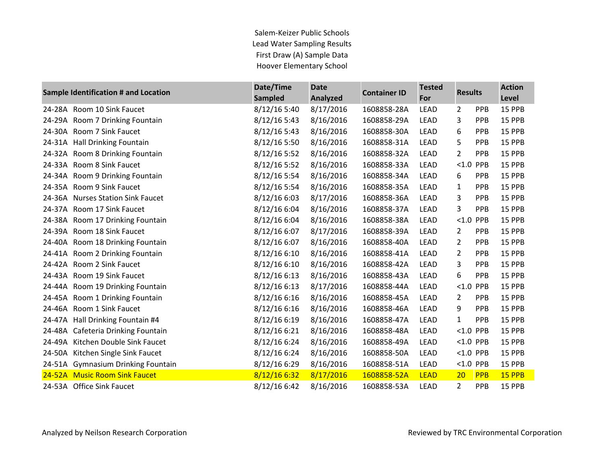Salem-Keizer Public Schools Lead Water Sampling Results First Draw (A) Sample Data Hoover Elementary School

| Sample Identification # and Location |                                    | Date/Time      | <b>Date</b>     | <b>Container ID</b> | <b>Tested</b> | <b>Results</b> |            | <b>Action</b> |
|--------------------------------------|------------------------------------|----------------|-----------------|---------------------|---------------|----------------|------------|---------------|
|                                      |                                    |                | <b>Analyzed</b> |                     | For           |                |            | Level         |
| 24-28A                               | Room 10 Sink Faucet                | 8/12/16 5:40   | 8/17/2016       | 1608858-28A         | <b>LEAD</b>   | 2              | PPB        | 15 PPB        |
| 24-29A                               | Room 7 Drinking Fountain           | 8/12/165:43    | 8/16/2016       | 1608858-29A         | <b>LEAD</b>   | 3              | PPB        | 15 PPB        |
| 24-30A                               | Room 7 Sink Faucet                 | 8/12/16 5:43   | 8/16/2016       | 1608858-30A         | <b>LEAD</b>   | 6              | <b>PPB</b> | 15 PPB        |
| 24-31A                               | <b>Hall Drinking Fountain</b>      | 8/12/16 5:50   | 8/16/2016       | 1608858-31A         | <b>LEAD</b>   | 5              | PPB        | 15 PPB        |
|                                      | 24-32A Room 8 Drinking Fountain    | 8/12/16 5:52   | 8/16/2016       | 1608858-32A         | LEAD          | 2              | PPB        | 15 PPB        |
| 24-33A                               | Room 8 Sink Faucet                 | 8/12/16 5:52   | 8/16/2016       | 1608858-33A         | <b>LEAD</b>   | $< 1.0$ PPB    |            | <b>15 PPB</b> |
| 24-34A                               | Room 9 Drinking Fountain           | 8/12/16 5:54   | 8/16/2016       | 1608858-34A         | <b>LEAD</b>   | 6              | PPB        | 15 PPB        |
|                                      | 24-35A Room 9 Sink Faucet          | 8/12/16 5:54   | 8/16/2016       | 1608858-35A         | LEAD          | 1              | PPB        | 15 PPB        |
| 24-36A                               | <b>Nurses Station Sink Faucet</b>  | 8/12/16 6:03   | 8/17/2016       | 1608858-36A         | <b>LEAD</b>   | 3              | <b>PPB</b> | <b>15 PPB</b> |
| 24-37A                               | Room 17 Sink Faucet                | 8/12/16 6:04   | 8/16/2016       | 1608858-37A         | <b>LEAD</b>   | 3              | PPB        | 15 PPB        |
|                                      | 24-38A Room 17 Drinking Fountain   | 8/12/16 6:04   | 8/16/2016       | 1608858-38A         | LEAD          | <1.0 PPB       |            | 15 PPB        |
| 24-39A                               | Room 18 Sink Faucet                | 8/12/16 6:07   | 8/17/2016       | 1608858-39A         | <b>LEAD</b>   | 2              | PPB        | 15 PPB        |
| 24-40A                               | Room 18 Drinking Fountain          | 8/12/16 6:07   | 8/16/2016       | 1608858-40A         | <b>LEAD</b>   | 2              | <b>PPB</b> | 15 PPB        |
| 24-41A                               | Room 2 Drinking Fountain           | 8/12/16 6:10   | 8/16/2016       | 1608858-41A         | <b>LEAD</b>   | 2              | PPB        | 15 PPB        |
| 24-42A                               | Room 2 Sink Faucet                 | 8/12/16 6:10   | 8/16/2016       | 1608858-42A         | LEAD          | 3              | PPB        | 15 PPB        |
| 24-43A                               | Room 19 Sink Faucet                | $8/12/16$ 6:13 | 8/16/2016       | 1608858-43A         | LEAD          | 6              | <b>PPB</b> | 15 PPB        |
| 24-44A                               | Room 19 Drinking Fountain          | 8/12/16 6:13   | 8/17/2016       | 1608858-44A         | <b>LEAD</b>   | $< 1.0$ PPB    |            | 15 PPB        |
|                                      | 24-45A Room 1 Drinking Fountain    | 8/12/16 6:16   | 8/16/2016       | 1608858-45A         | LEAD          | $\overline{2}$ | PPB        | 15 PPB        |
| 24-46A                               | Room 1 Sink Faucet                 | 8/12/16 6:16   | 8/16/2016       | 1608858-46A         | <b>LEAD</b>   | 9              | <b>PPB</b> | <b>15 PPB</b> |
| 24-47A                               | Hall Drinking Fountain #4          | 8/12/16 6:19   | 8/16/2016       | 1608858-47A         | <b>LEAD</b>   | 1              | <b>PPB</b> | 15 PPB        |
| 24-48A                               | Cafeteria Drinking Fountain        | 8/12/16 6:21   | 8/16/2016       | 1608858-48A         | <b>LEAD</b>   | <1.0 PPB       |            | 15 PPB        |
| 24-49A                               | Kitchen Double Sink Faucet         | 8/12/16 6:24   | 8/16/2016       | 1608858-49A         | LEAD          | $< 1.0$ PPB    |            | 15 PPB        |
| 24-50A                               | Kitchen Single Sink Faucet         | 8/12/16 6:24   | 8/16/2016       | 1608858-50A         | <b>LEAD</b>   | $< 1.0$ PPB    |            | 15 PPB        |
|                                      | 24-51A Gymnasium Drinking Fountain | 8/12/16 6:29   | 8/16/2016       | 1608858-51A         | LEAD          | <1.0 PPB       |            | 15 PPB        |
|                                      | 24-52A Music Room Sink Faucet      | 8/12/16 6:32   | 8/17/2016       | 1608858-52A         | <b>LEAD</b>   | 20             | PPB        | 15 PPB        |
|                                      | 24-53A Office Sink Faucet          | 8/12/16 6:42   | 8/16/2016       | 1608858-53A         | <b>LEAD</b>   | 2              | <b>PPB</b> | <b>15 PPB</b> |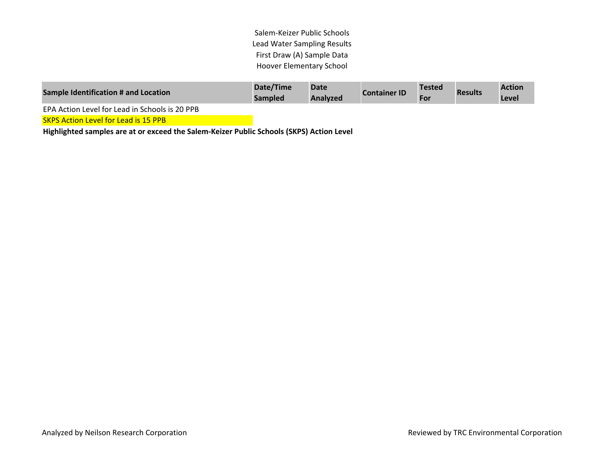Salem-Keizer Public Schools Lead Water Sampling Results First Draw (A) Sample Data Hoover Elementary School

| <b>Sample Identification # and Location</b>    | Date/Time<br><b>Sampled</b> | <b>Date</b><br>Analyzed | <b>Container ID</b> | <b>Tested</b><br>For | <b>Results</b> | <b>Action</b><br>Level |
|------------------------------------------------|-----------------------------|-------------------------|---------------------|----------------------|----------------|------------------------|
| EPA Action Level for Lead in Schools is 20 PPB |                             |                         |                     |                      |                |                        |

SKPS Action Level for Lead is 15 PPB

**Highlighted samples are at or exceed the Salem-Keizer Public Schools (SKPS) Action Level**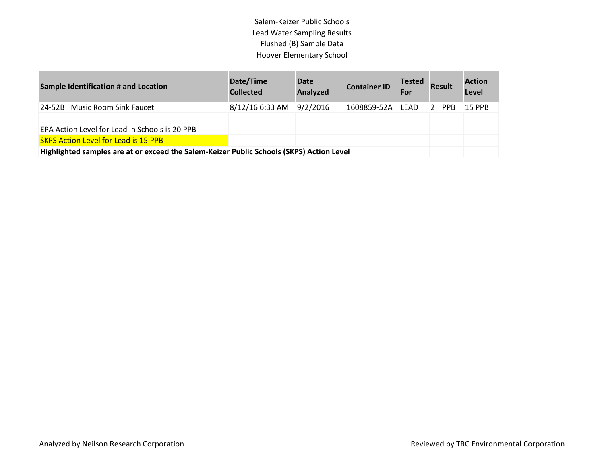Salem-Keizer Public Schools Lead Water Sampling Results Flushed (B) Sample Data Hoover Elementary School

| <b>Sample Identification # and Location</b>                                              | Date/Time<br><b>Collected</b> | <b>Date</b><br>Analyzed | <b>Container ID</b> | <b>Tested</b><br>For | <b>Result</b> | <b>Action</b><br><b>Level</b> |
|------------------------------------------------------------------------------------------|-------------------------------|-------------------------|---------------------|----------------------|---------------|-------------------------------|
| 24-52B Music Room Sink Faucet                                                            | 8/12/16 6:33 AM               | 9/2/2016                | 1608859-52A         | LEAD                 | 2 PPB         | 15 PPB                        |
|                                                                                          |                               |                         |                     |                      |               |                               |
| EPA Action Level for Lead in Schools is 20 PPB                                           |                               |                         |                     |                      |               |                               |
| <b>SKPS Action Level for Lead is 15 PPB</b>                                              |                               |                         |                     |                      |               |                               |
| Highlighted samples are at or exceed the Salem-Keizer Public Schools (SKPS) Action Level |                               |                         |                     |                      |               |                               |